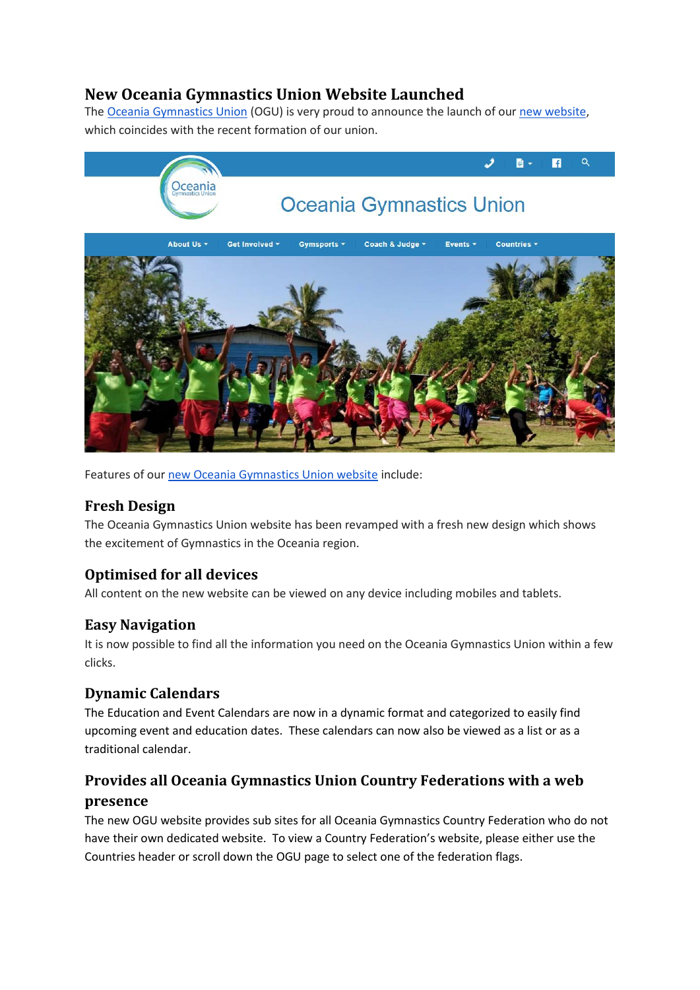# **New Oceania Gymnastics Union Website Launched**

The [Oceania Gymnastics Union](http://oceaniagymnastics.org/) (OGU) is very proud to announce the launch of our [new website,](http://oceaniagymnastics.org/) which coincides with the recent formation of our union.



Features of our [new Oceania Gymnastics Union website](http://oceaniagymnastics.org/) include:

#### **Fresh Design**

The Oceania Gymnastics Union website has been revamped with a fresh new design which shows the excitement of Gymnastics in the Oceania region.

#### **Optimised for all devices**

All content on the new website can be viewed on any device including mobiles and tablets.

#### **Easy Navigation**

It is now possible to find all the information you need on the Oceania Gymnastics Union within a few clicks.

#### **Dynamic Calendars**

The Education and Event Calendars are now in a dynamic format and categorized to easily find upcoming event and education dates. These calendars can now also be viewed as a list or as a traditional calendar.

## **Provides all Oceania Gymnastics Union Country Federations with a web presence**

The new OGU website provides sub sites for all Oceania Gymnastics Country Federation who do not have their own dedicated website. To view a Country Federation's website, please either use the Countries header or scroll down the OGU page to select one of the federation flags.